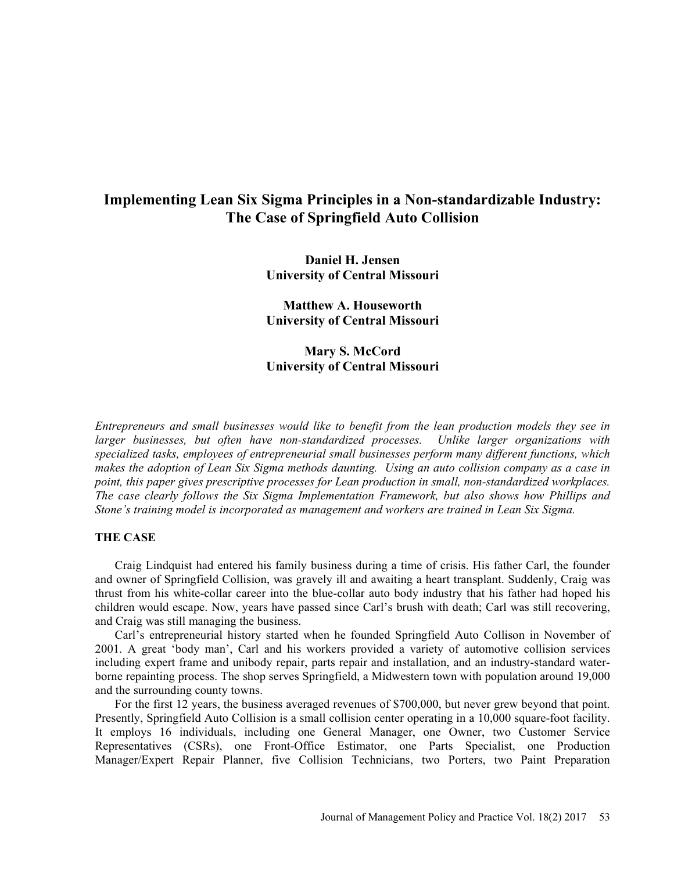# Implementing Lean Six Sigma Principles in a Non-standardizable Industry: The Case of Springfield Auto Collision

Daniel H. Jensen University of Central Missouri

Matthew A. Houseworth University of Central Missouri

## Mary S. McCord University of Central Missouri

Entrepreneurs and small businesses would like to benefit from the lean production models they see in larger businesses, but often have non-standardized processes. Unlike larger organizations with specialized tasks, employees of entrepreneurial small businesses perform many different functions, which makes the adoption of Lean Six Sigma methods daunting. Using an auto collision company as a case in point, this paper gives prescriptive processes for Lean production in small, non-standardized workplaces. The case clearly follows the Six Sigma Implementation Framework, but also shows how Phillips and Stone's training model is incorporated as management and workers are trained in Lean Six Sigma.

## THE CASE

Craig Lindquist had entered his family business during a time of crisis. His father Carl, the founder and owner of Springfield Collision, was gravely ill and awaiting a heart transplant. Suddenly, Craig was thrust from his white-collar career into the blue-collar auto body industry that his father had hoped his children would escape. Now, years have passed since Carl's brush with death; Carl was still recovering, and Craig was still managing the business.

Carl's entrepreneurial history started when he founded Springfield Auto Collison in November of 2001. A great 'body man', Carl and his workers provided a variety of automotive collision services including expert frame and unibody repair, parts repair and installation, and an industry-standard waterborne repainting process. The shop serves Springfield, a Midwestern town with population around 19,000 and the surrounding county towns.

For the first 12 years, the business averaged revenues of \$700,000, but never grew beyond that point. Presently, Springfield Auto Collision is a small collision center operating in a 10,000 square-foot facility. It employs 16 individuals, including one General Manager, one Owner, two Customer Service Representatives (CSRs), one Front-Office Estimator, one Parts Specialist, one Production Manager/Expert Repair Planner, five Collision Technicians, two Porters, two Paint Preparation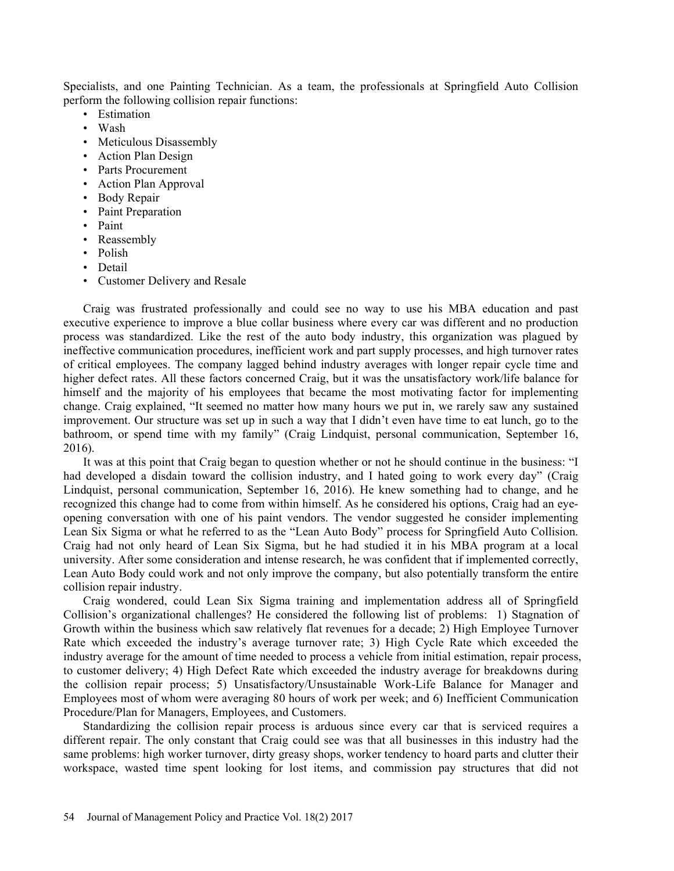Specialists, and one Painting Technician. As a team, the professionals at Springfield Auto Collision perform the following collision repair functions:<br>
• Estimation<br>
• Wash<br>
• Meticulous Disassembly<br>
• Action Plan Design<br>
• Parts Procurement<br>
• Action Plan Approval<br>
• Body Repair<br>
• Paint Preparation<br>
• Paint<br>
• Reassembl

- 
- 
- 
- 
- 
- 
- 
- 
- 
- 
- 
- 
- 

Craig was frustrated professionally and could see no way to use his MBA education and past executive experience to improve a blue collar business where every car was different and no production process was standardized. Like the rest of the auto body industry, this organization was plagued by ineffective communication procedures, inefficient work and part supply processes, and high turnover rates of critical employees. The company lagged behind industry averages with longer repair cycle time and higher defect rates. All these factors concerned Craig, but it was the unsatisfactory work/life balance for himself and the majority of his employees that became the most motivating factor for implementing change. Craig explained, "It seemed no matter how many hours we put in, we rarely saw any sustained improvement. Our structure was set up in such a way that I didn't even have time to eat lunch, go to the bathroom, or spend time with my family" (Craig Lindquist, personal communication, September 16, 2016).

It was at this point that Craig began to question whether or not he should continue in the business: "I had developed a disdain toward the collision industry, and I hated going to work every day" (Craig Lindquist, personal communication, September 16, 2016). He knew something had to change, and he recognized this change had to come from within himself. As he considered his options, Craig had an eyeopening conversation with one of his paint vendors. The vendor suggested he consider implementing Lean Six Sigma or what he referred to as the "Lean Auto Body" process for Springfield Auto Collision. Craig had not only heard of Lean Six Sigma, but he had studied it in his MBA program at a local university. After some consideration and intense research, he was confident that if implemented correctly, Lean Auto Body could work and not only improve the company, but also potentially transform the entire collision repair industry.

Craig wondered, could Lean Six Sigma training and implementation address all of Springfield Collision's organizational challenges? He considered the following list of problems: 1) Stagnation of Growth within the business which saw relatively flat revenues for a decade; 2) High Employee Turnover Rate which exceeded the industry's average turnover rate; 3) High Cycle Rate which exceeded the industry average for the amount of time needed to process a vehicle from initial estimation, repair process, to customer delivery; 4) High Defect Rate which exceeded the industry average for breakdowns during the collision repair process; 5) Unsatisfactory/Unsustainable Work-Life Balance for Manager and Employees most of whom were averaging 80 hours of work per week; and 6) Inefficient Communication Procedure/Plan for Managers, Employees, and Customers.

Standardizing the collision repair process is arduous since every car that is serviced requires a different repair. The only constant that Craig could see was that all businesses in this industry had the same problems: high worker turnover, dirty greasy shops, worker tendency to hoard parts and clutter their workspace, wasted time spent looking for lost items, and commission pay structures that did not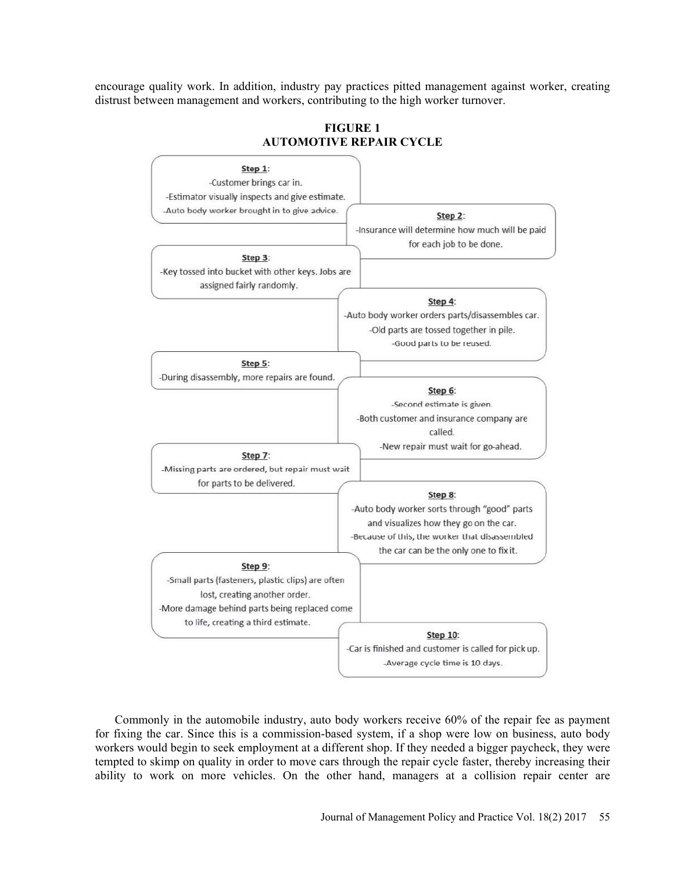encourage quality work. In addition, industry pay practices pitted management against worker, creating distrust between management and workers, contributing to the high worker turnover.



## FIGURE 1 AUTOMOTIVE REPAIR CYCLE

Commonly in the automobile industry, auto body workers receive 60% of the repair fee as payment for fixing the car. Since this is a commission-based system, if a shop were low on business, auto body workers would begin to seek employment at a different shop. If they needed a bigger paycheck, they were tempted to skimp on quality in order to move cars through the repair cycle faster, thereby increasing their ability to work on more vehicles. On the other hand, managers at a collision repair center are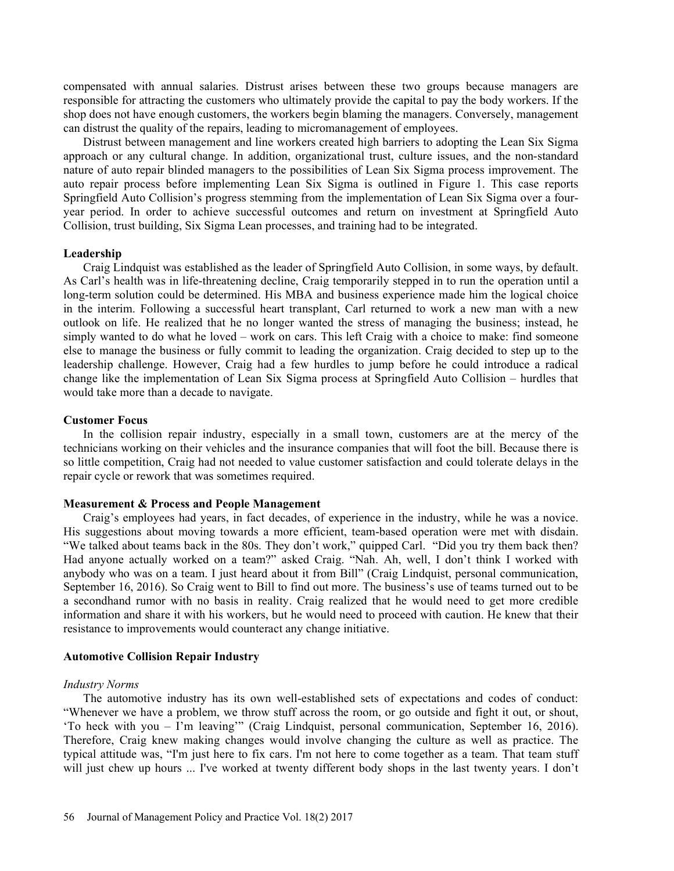compensated with annual salaries. Distrust arises between these two groups because managers are responsible for attracting the customers who ultimately provide the capital to pay the body workers. If the shop does not have enough customers, the workers begin blaming the managers. Conversely, management can distrust the quality of the repairs, leading to micromanagement of employees.

Distrust between management and line workers created high barriers to adopting the Lean Six Sigma approach or any cultural change. In addition, organizational trust, culture issues, and the non-standard nature of auto repair blinded managers to the possibilities of Lean Six Sigma process improvement. The auto repair process before implementing Lean Six Sigma is outlined in Figure 1. This case reports Springfield Auto Collision's progress stemming from the implementation of Lean Six Sigma over a fouryear period. In order to achieve successful outcomes and return on investment at Springfield Auto Collision, trust building, Six Sigma Lean processes, and training had to be integrated.

#### Leadership

Craig Lindquist was established as the leader of Springfield Auto Collision, in some ways, by default. As Carl's health was in life-threatening decline. Craig temporarily stepped in to run the operation until a long-term solution could be determined. His MBA and business experience made him the logical choice in the interim. Following a successful heart transplant, Carl returned to work a new man with a new outlook on life. He realized that he no longer wanted the stress of managing the business; instead, he simply wanted to do what he loved - work on cars. This left Craig with a choice to make: find someone else to manage the business or fully commit to leading the organization. Craig decided to step up to the leadership challenge. However, Craig had a few hurdles to jump before he could introduce a radical change like the implementation of Lean Six Sigma process at Springfield Auto Collision – hurdles that would take more than a decade to navigate.

#### Customer Focus

In the collision repair industry, especially in a small town, customers are at the mercy of the technicians working on their vehicles and the insurance companies that will foot the bill. Because there is so little competition, Craig had not needed to value customer satisfaction and could tolerate delays in the repair cycle or rework that was sometimes required.

## Measurement & Process and People Management

Craig's employees had years, in fact decades, of experience in the industry, while he was a novice. His suggestions about moving towards a more efficient, team-based operation were met with disdain. "We talked about teams back in the 80s. They don't work," quipped Carl. "Did you try them back then? Had anyone actually worked on a team?" asked Craig. "Nah. Ah, well, I don't think I worked with anybody who was on a team. I just heard about it from Bill" (Craig Lindquist, personal communication, September 16, 2016). So Craig went to Bill to find out more. The business's use of teams turned out to be a secondhand rumor with no basis in reality. Craig realized that he would need to get more credible information and share it with his workers, but he would need to proceed with caution. He knew that their resistance to improvements would counteract any change initiative.

#### Automotive Collision Repair Industry

#### Industry Norms

The automotive industry has its own well-established sets of expectations and codes of conduct: Whenever we have a problem, we throw stuff across the room, or go outside and fight it out, or shout, 'To heck with you - I'm leaving"" (Craig Lindquist, personal communication, September 16, 2016). Therefore, Craig knew making changes would involve changing the culture as well as practice. The typical attitude was, "I'm just here to fix cars. I'm not here to come together as a team. That team stuff will just chew up hours ... I've worked at twenty different body shops in the last twenty years. I don't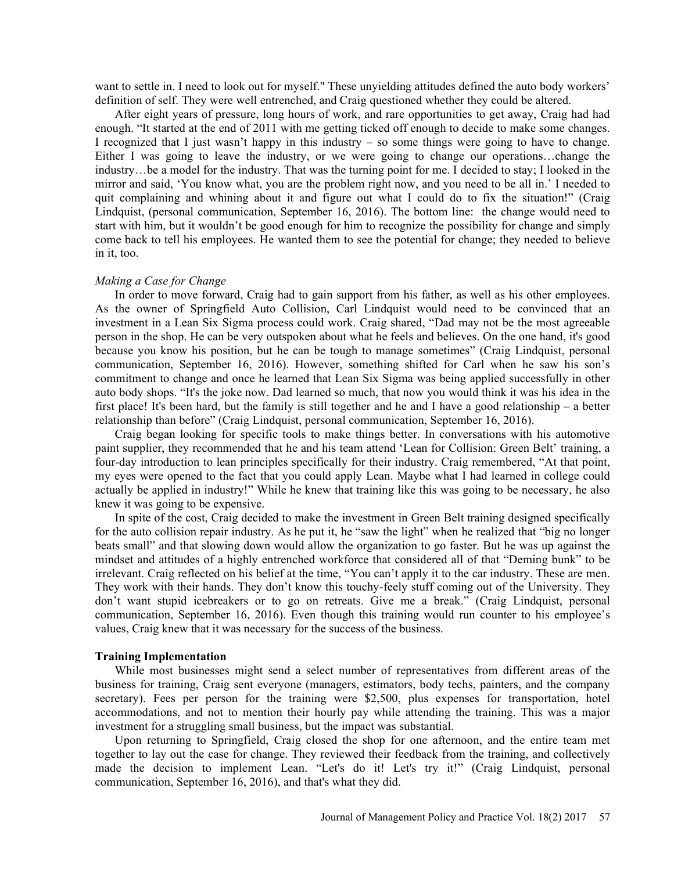want to settle in. I need to look out for myself." These unyielding attitudes defined the auto body workers' definition of self. They were well entrenched, and Craig questioned whether they could be altered.

After eight years of pressure, long hours of work, and rare opportunities to get away, Craig had had enough. "It started at the end of 2011 with me getting ticked off enough to decide to make some changes. I recognized that I just wasn't happy in this industry  $-$  so some things were going to have to change. Either I was going to leave the industry, or we were going to change our operations...change the industry...be a model for the industry. That was the turning point for me. I decided to stay; I looked in the mirror and said, You know what, you are the problem right now, and you need to be all in. I needed to quit complaining and whining about it and figure out what I could do to fix the situation!" (Craig Lindquist, (personal communication, September 16, 2016). The bottom line: the change would need to start with him, but it wouldn't be good enough for him to recognize the possibility for change and simply come back to tell his employees. He wanted them to see the potential for change; they needed to believe in it, too.

#### Making a Case for Change

In order to move forward, Craig had to gain support from his father, as well as his other employees. As the owner of Springfield Auto Collision, Carl Lindquist would need to be convinced that an investment in a Lean Six Sigma process could work. Craig shared, "Dad may not be the most agreeable person in the shop. He can be very outspoken about what he feels and believes. On the one hand, it's good because you know his position, but he can be tough to manage sometimes" (Craig Lindquist, personal communication, September 16, 2016). However, something shifted for Carl when he saw his son's commitment to change and once he learned that Lean Six Sigma was being applied successfully in other auto body shops. "It's the joke now. Dad learned so much, that now you would think it was his idea in the first place! It's been hard, but the family is still together and he and I have a good relationship  $-$  a better relationship than before" (Craig Lindquist, personal communication, September 16, 2016).

Craig began looking for specific tools to make things better. In conversations with his automotive paint supplier, they recommended that he and his team attend 'Lean for Collision: Green Belt' training, a four-day introduction to lean principles specifically for their industry. Craig remembered, "At that point, my eyes were opened to the fact that you could apply Lean. Maybe what I had learned in college could actually be applied in industry!" While he knew that training like this was going to be necessary, he also knew it was going to be expensive.

In spite of the cost, Craig decided to make the investment in Green Belt training designed specifically for the auto collision repair industry. As he put it, he "saw the light" when he realized that "big no longer beats small" and that slowing down would allow the organization to go faster. But he was up against the mindset and attitudes of a highly entrenched workforce that considered all of that "Deming bunk" to be irrelevant. Craig reflected on his belief at the time, "You can't apply it to the car industry. These are men. They work with their hands. They don't know this touchy-feely stuff coming out of the University. They don't want stupid icebreakers or to go on retreats. Give me a break." (Craig Lindquist, personal communication, September 16, 2016). Even though this training would run counter to his employee's values, Craig knew that it was necessary for the success of the business.

#### Training Implementation

While most businesses might send a select number of representatives from different areas of the business for training, Craig sent everyone (managers, estimators, body techs, painters, and the company secretary). Fees per person for the training were \$2,500, plus expenses for transportation, hotel accommodations, and not to mention their hourly pay while attending the training. This was a major investment for a struggling small business, but the impact was substantial.

Upon returning to Springfield, Craig closed the shop for one afternoon, and the entire team met together to lay out the case for change. They reviewed their feedback from the training, and collectively made the decision to implement Lean. "Let's do it! Let's try it!" (Craig Lindquist, personal communication, September 16, 2016), and that's what they did.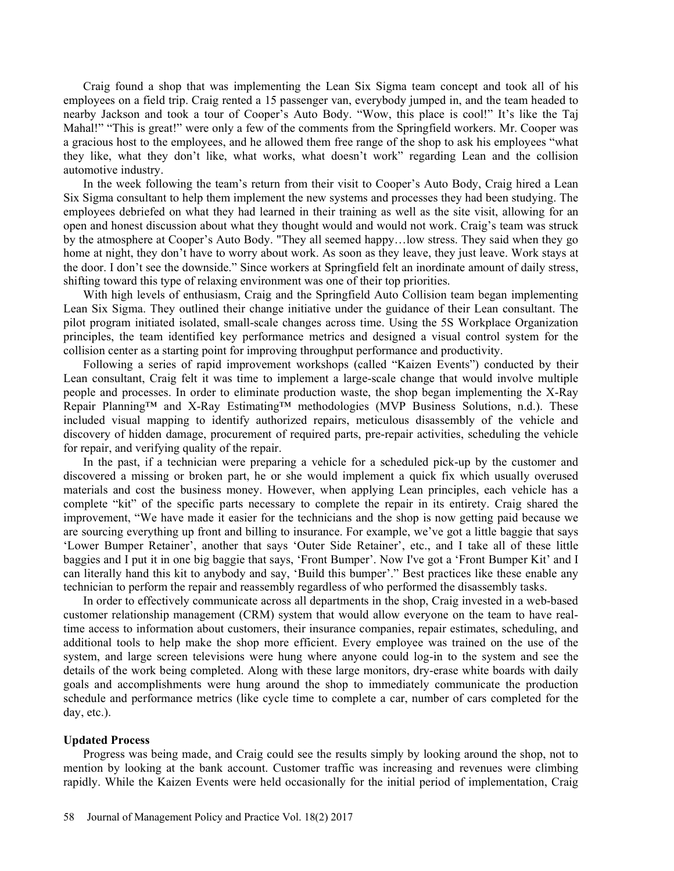Craig found a shop that was implementing the Lean Six Sigma team concept and took all of his employees on a field trip. Craig rented a 15 passenger van, everybody jumped in, and the team headed to nearby Jackson and took a tour of Cooper's Auto Body. "Wow, this place is cool!" It's like the Taj Mahal!" "This is great!" were only a few of the comments from the Springfield workers. Mr. Cooper was a gracious host to the employees, and he allowed them free range of the shop to ask his employees "what they like, what they don't like, what works, what doesn't work" regarding Lean and the collision automotive industry.

In the week following the team's return from their visit to Cooper's Auto Body, Craig hired a Lean Six Sigma consultant to help them implement the new systems and processes they had been studying. The employees debriefed on what they had learned in their training as well as the site visit, allowing for an open and honest discussion about what they thought would and would not work. Craig's team was struck by the atmosphere at Cooper's Auto Body. "They all seemed happy...low stress. They said when they go home at night, they don't have to worry about work. As soon as they leave, they just leave. Work stays at the door. I don't see the downside." Since workers at Springfield felt an inordinate amount of daily stress, shifting toward this type of relaxing environment was one of their top priorities.

With high levels of enthusiasm, Craig and the Springfield Auto Collision team began implementing Lean Six Sigma. They outlined their change initiative under the guidance of their Lean consultant. The pilot program initiated isolated, small-scale changes across time. Using the 5S Workplace Organization principles, the team identified key performance metrics and designed a visual control system for the collision center as a starting point for improving throughput performance and productivity.

Following a series of rapid improvement workshops (called "Kaizen Events") conducted by their Lean consultant, Craig felt it was time to implement a large-scale change that would involve multiple people and processes. In order to eliminate production waste, the shop began implementing the X-Ray Repair Planning<sup>TM</sup> and X-Ray Estimating<sup>TM</sup> methodologies (MVP Business Solutions, n.d.). These included visual mapping to identify authorized repairs, meticulous disassembly of the vehicle and discovery of hidden damage, procurement of required parts, pre-repair activities, scheduling the vehicle for repair, and verifying quality of the repair.

In the past, if a technician were preparing a vehicle for a scheduled pick-up by the customer and discovered a missing or broken part, he or she would implement a quick fix which usually overused materials and cost the business money. However, when applying Lean principles, each vehicle has a complete "kit" of the specific parts necessary to complete the repair in its entirety. Craig shared the improvement, We have made it easier for the technicians and the shop is now getting paid because we are sourcing everything up front and billing to insurance. For example, we've got a little baggie that says 'Lower Bumper Retainer', another that says 'Outer Side Retainer', etc., and I take all of these little baggies and I put it in one big baggie that says, 'Front Bumper'. Now I've got a 'Front Bumper Kit' and I can literally hand this kit to anybody and say, 'Build this bumper'." Best practices like these enable any technician to perform the repair and reassembly regardless of who performed the disassembly tasks.

In order to effectively communicate across all departments in the shop, Craig invested in a web-based customer relationship management (CRM) system that would allow everyone on the team to have realtime access to information about customers, their insurance companies, repair estimates, scheduling, and additional tools to help make the shop more efficient. Every employee was trained on the use of the system, and large screen televisions were hung where anyone could log-in to the system and see the details of the work being completed. Along with these large monitors, dry-erase white boards with daily goals and accomplishments were hung around the shop to immediately communicate the production schedule and performance metrics (like cycle time to complete a car, number of cars completed for the day, etc.).

## Updated Process

Progress was being made, and Craig could see the results simply by looking around the shop, not to mention by looking at the bank account. Customer traffic was increasing and revenues were climbing rapidly. While the Kaizen Events were held occasionally for the initial period of implementation, Craig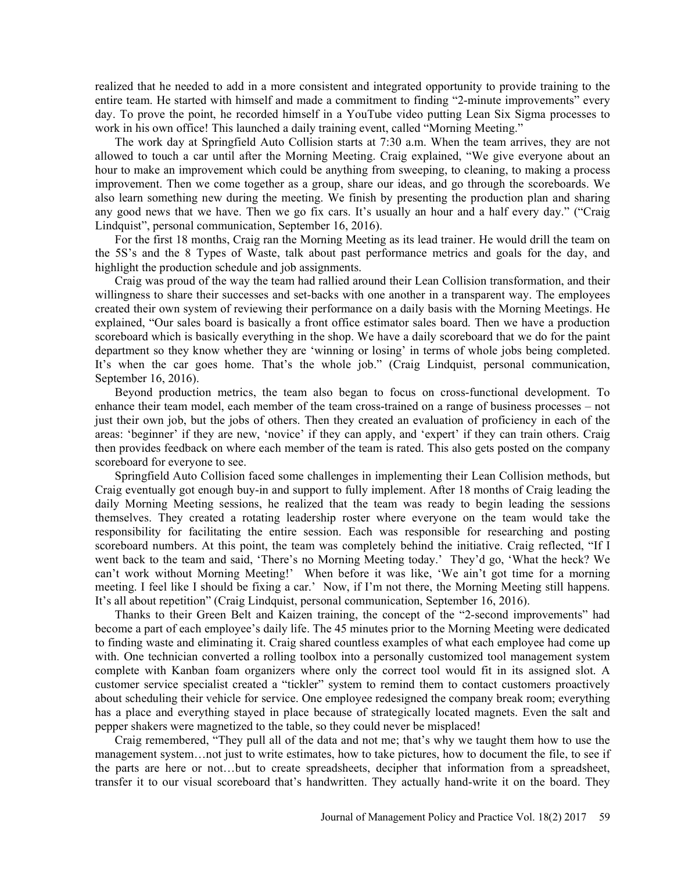realized that he needed to add in a more consistent and integrated opportunity to provide training to the entire team. He started with himself and made a commitment to finding "2-minute improvements" every day. To prove the point, he recorded himself in a YouTube video putting Lean Six Sigma processes to work in his own office! This launched a daily training event, called "Morning Meeting."

The work day at Springfield Auto Collision starts at 7:30 a.m. When the team arrives, they are not allowed to touch a car until after the Morning Meeting. Craig explained, "We give everyone about an hour to make an improvement which could be anything from sweeping, to cleaning, to making a process improvement. Then we come together as a group, share our ideas, and go through the scoreboards. We also learn something new during the meeting. We finish by presenting the production plan and sharing any good news that we have. Then we go fix cars. It's usually an hour and a half every day." ("Craig Lindquist", personal communication, September 16, 2016).

For the first 18 months, Craig ran the Morning Meeting as its lead trainer. He would drill the team on the 5S's and the 8 Types of Waste, talk about past performance metrics and goals for the day, and highlight the production schedule and job assignments.

Craig was proud of the way the team had rallied around their Lean Collision transformation, and their willingness to share their successes and set-backs with one another in a transparent way. The employees created their own system of reviewing their performance on a daily basis with the Morning Meetings. He explained, "Our sales board is basically a front office estimator sales board. Then we have a production scoreboard which is basically everything in the shop. We have a daily scoreboard that we do for the paint department so they know whether they are 'winning or losing' in terms of whole jobs being completed. It's when the car goes home. That's the whole job." (Craig Lindquist, personal communication, September 16, 2016).

Beyond production metrics, the team also began to focus on cross-functional development. To enhance their team model, each member of the team cross-trained on a range of business processes – not just their own job, but the jobs of others. Then they created an evaluation of proficiency in each of the areas: 'beginner' if they are new, 'novice' if they can apply, and 'expert' if they can train others. Craig then provides feedback on where each member of the team is rated. This also gets posted on the company scoreboard for everyone to see.

Springfield Auto Collision faced some challenges in implementing their Lean Collision methods, but Craig eventually got enough buy-in and support to fully implement. After 18 months of Craig leading the daily Morning Meeting sessions, he realized that the team was ready to begin leading the sessions themselves. They created a rotating leadership roster where everyone on the team would take the responsibility for facilitating the entire session. Each was responsible for researching and posting scoreboard numbers. At this point, the team was completely behind the initiative. Craig reflected, "If I went back to the team and said, 'There's no Morning Meeting today.' They'd go, 'What the heck? We can't work without Morning Meeting!' When before it was like, 'We ain't got time for a morning meeting. I feel like I should be fixing a car.' Now, if I'm not there, the Morning Meeting still happens. It's all about repetition" (Craig Lindquist, personal communication, September 16, 2016).

Thanks to their Green Belt and Kaizen training, the concept of the "2-second improvements" had become a part of each employee's daily life. The 45 minutes prior to the Morning Meeting were dedicated to finding waste and eliminating it. Craig shared countless examples of what each employee had come up with. One technician converted a rolling toolbox into a personally customized tool management system complete with Kanban foam organizers where only the correct tool would fit in its assigned slot. A customer service specialist created a "tickler" system to remind them to contact customers proactively about scheduling their vehicle for service. One employee redesigned the company break room; everything has a place and everything stayed in place because of strategically located magnets. Even the salt and pepper shakers were magnetized to the table, so they could never be misplaced!

Craig remembered, "They pull all of the data and not me; that's why we taught them how to use the management system... not just to write estimates, how to take pictures, how to document the file, to see if the parts are here or not...but to create spreadsheets, decipher that information from a spreadsheet, transfer it to our visual scoreboard that's handwritten. They actually hand-write it on the board. They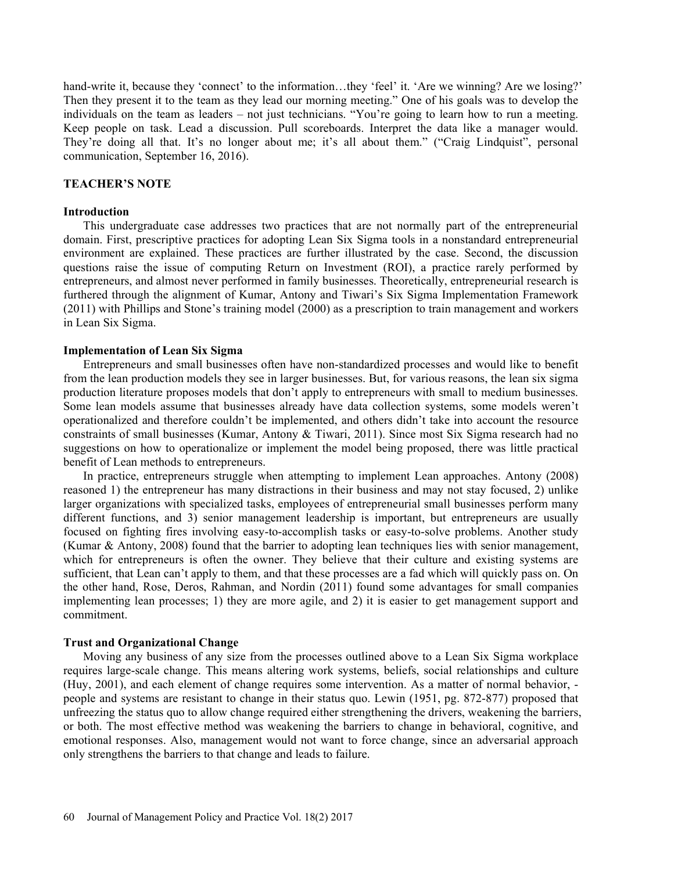hand-write it, because they 'connect' to the information...they 'feel' it. 'Are we winning? Are we losing?' Then they present it to the team as they lead our morning meeting." One of his goals was to develop the individuals on the team as leaders – not just technicians. "You're going to learn how to run a meeting. Keep people on task. Lead a discussion. Pull scoreboards. Interpret the data like a manager would. They're doing all that. It's no longer about me; it's all about them." ("Craig Lindquist", personal communication, September 16, 2016).

## **TEACHER'S NOTE**

#### Introduction

This undergraduate case addresses two practices that are not normally part of the entrepreneurial domain. First, prescriptive practices for adopting Lean Six Sigma tools in a nonstandard entrepreneurial environment are explained. These practices are further illustrated by the case. Second, the discussion questions raise the issue of computing Return on Investment (ROI), a practice rarely performed by entrepreneurs, and almost never performed in family businesses. Theoretically, entrepreneurial research is furthered through the alignment of Kumar, Antony and Tiwari's Six Sigma Implementation Framework  $(2011)$  with Phillips and Stone's training model  $(2000)$  as a prescription to train management and workers in Lean Six Sigma.

## Implementation of Lean Six Sigma

Entrepreneurs and small businesses often have non-standardized processes and would like to benefit from the lean production models they see in larger businesses. But, for various reasons, the lean six sigma production literature proposes models that don't apply to entrepreneurs with small to medium businesses. Some lean models assume that businesses already have data collection systems, some models weren't operationalized and therefore couldn't be implemented, and others didn't take into account the resource constraints of small businesses (Kumar, Antony & Tiwari, 2011). Since most Six Sigma research had no suggestions on how to operationalize or implement the model being proposed, there was little practical benefit of Lean methods to entrepreneurs.

In practice, entrepreneurs struggle when attempting to implement Lean approaches. Antony (2008) reasoned 1) the entrepreneur has many distractions in their business and may not stay focused, 2) unlike larger organizations with specialized tasks, employees of entrepreneurial small businesses perform many different functions, and 3) senior management leadership is important, but entrepreneurs are usually focused on fighting fires involving easy-to-accomplish tasks or easy-to-solve problems. Another study (Kumar & Antony, 2008) found that the barrier to adopting lean techniques lies with senior management, which for entrepreneurs is often the owner. They believe that their culture and existing systems are sufficient, that Lean can't apply to them, and that these processes are a fad which will quickly pass on. On the other hand, Rose, Deros, Rahman, and Nordin (2011) found some advantages for small companies implementing lean processes; 1) they are more agile, and 2) it is easier to get management support and commitment.

#### Trust and Organizational Change

Moving any business of any size from the processes outlined above to a Lean Six Sigma workplace requires large-scale change. This means altering work systems, beliefs, social relationships and culture (Huy, 2001), and each element of change requires some intervention. As a matter of normal behavior, people and systems are resistant to change in their status quo. Lewin (1951, pg. 872-877) proposed that unfreezing the status quo to allow change required either strengthening the drivers, weakening the barriers, or both. The most effective method was weakening the barriers to change in behavioral, cognitive, and emotional responses. Also, management would not want to force change, since an adversarial approach only strengthens the barriers to that change and leads to failure.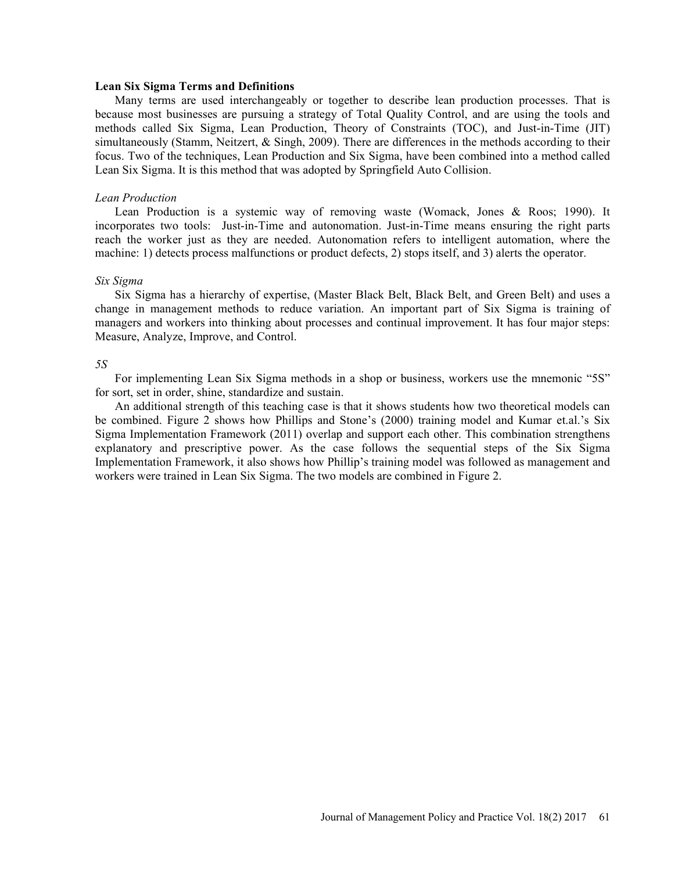#### Lean Six Sigma Terms and Definitions

Many terms are used interchangeably or together to describe lean production processes. That is because most businesses are pursuing a strategy of Total Quality Control, and are using the tools and methods called Six Sigma, Lean Production, Theory of Constraints (TOC), and Just-in-Time (JIT) simultaneously (Stamm, Neitzert, & Singh, 2009). There are differences in the methods according to their focus. Two of the techniques, Lean Production and Six Sigma, have been combined into a method called Lean Six Sigma. It is this method that was adopted by Springfield Auto Collision.

#### Lean Production

Lean Production is a systemic way of removing waste (Womack, Jones & Roos; 1990). It incorporates two tools: Just-in-Time and autonomation. Just-in-Time means ensuring the right parts reach the worker just as they are needed. Autonomation refers to intelligent automation, where the machine: 1) detects process malfunctions or product defects, 2) stops itself, and 3) alerts the operator.

#### Six Sigma

Six Sigma has a hierarchy of expertise, (Master Black Belt, Black Belt, and Green Belt) and uses a change in management methods to reduce variation. An important part of Six Sigma is training of managers and workers into thinking about processes and continual improvement. It has four major steps: Measure, Analyze, Improve, and Control.

#### 5S

For implementing Lean Six Sigma methods in a shop or business, workers use the mnemonic "5S" for sort, set in order, shine, standardize and sustain.

An additional strength of this teaching case is that it shows students how two theoretical models can be combined. Figure 2 shows how Phillips and Stone's (2000) training model and Kumar et.al.'s Six Sigma Implementation Framework (2011) overlap and support each other. This combination strengthens explanatory and prescriptive power. As the case follows the sequential steps of the Six Sigma Implementation Framework, it also shows how Phillip's training model was followed as management and workers were trained in Lean Six Sigma. The two models are combined in Figure 2.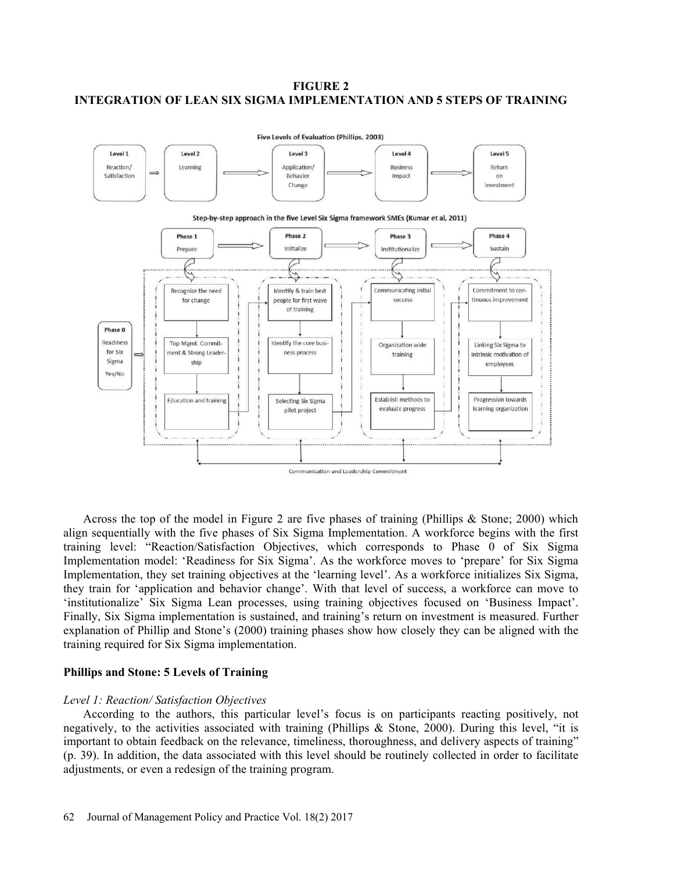## FIGURE 2 INTEGRATION OF LEAN SIX SIGMA IMPLEMENTATION AND 5 STEPS OF TRAINING



Across the top of the model in Figure 2 are five phases of training (Phillips & Stone; 2000) which align sequentially with the five phases of Six Sigma Implementation. A workforce begins with the first training level: "Reaction/Satisfaction Objectives, which corresponds to Phase 0 of Six Sigma Implementation model: 'Readiness for Six Sigma'. As the workforce moves to 'prepare' for Six Sigma Implementation, they set training objectives at the 'learning level'. As a workforce initializes Six Sigma, they train for 'application and behavior change'. With that level of success, a workforce can move to 'institutionalize' Six Sigma Lean processes, using training objectives focused on 'Business Impact'. Finally, Six Sigma implementation is sustained, and training's return on investment is measured. Further explanation of Phillip and Stone's (2000) training phases show how closely they can be aligned with the training required for Six Sigma implementation.

#### Phillips and Stone: 5 Levels of Training

#### Level 1: Reaction/ Satisfaction Objectives

According to the authors, this particular level's focus is on participants reacting positively, not negatively, to the activities associated with training (Phillips & Stone, 2000). During this level, "it is important to obtain feedback on the relevance, timeliness, thoroughness, and delivery aspects of training (p. 39). In addition, the data associated with this level should be routinely collected in order to facilitate adjustments, or even a redesign of the training program.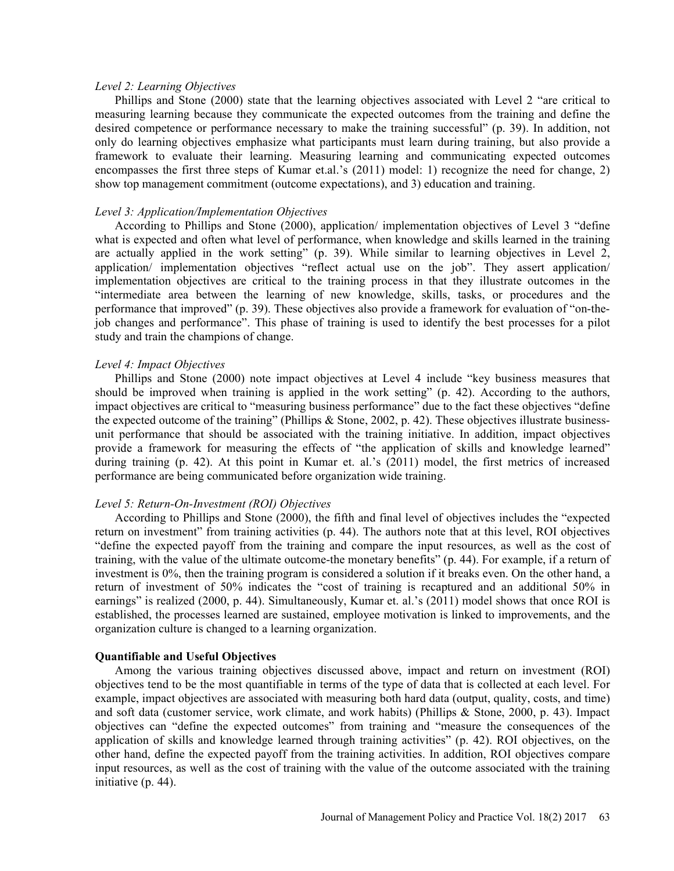#### Level 2: Learning Objectives

Phillips and Stone  $(2000)$  state that the learning objectives associated with Level 2 "are critical to measuring learning because they communicate the expected outcomes from the training and define the desired competence or performance necessary to make the training successful" (p. 39). In addition, not only do learning objectives emphasize what participants must learn during training, but also provide a framework to evaluate their learning. Measuring learning and communicating expected outcomes encompasses the first three steps of Kumar et.al.'s  $(2011)$  model: 1) recognize the need for change, 2) show top management commitment (outcome expectations), and 3) education and training.

#### Level 3: Application/Implementation Objectives

According to Phillips and Stone (2000), application/ implementation objectives of Level 3 "define what is expected and often what level of performance, when knowledge and skills learned in the training are actually applied in the work setting"  $(p. 39)$ . While similar to learning objectives in Level 2, application/ implementation objectives "reflect actual use on the job". They assert application/ implementation objectives are critical to the training process in that they illustrate outcomes in the intermediate area between the learning of new knowledge, skills, tasks, or procedures and the performance that improved" (p. 39). These objectives also provide a framework for evaluation of "on-thejob changes and performance". This phase of training is used to identify the best processes for a pilot study and train the champions of change.

#### Level 4: Impact Objectives

Phillips and Stone (2000) note impact objectives at Level 4 include "key business measures that should be improved when training is applied in the work setting"  $(p. 42)$ . According to the authors, impact objectives are critical to "measuring business performance" due to the fact these objectives "define" the expected outcome of the training" (Phillips & Stone, 2002, p. 42). These objectives illustrate businessunit performance that should be associated with the training initiative. In addition, impact objectives provide a framework for measuring the effects of "the application of skills and knowledge learned" during training (p. 42). At this point in Kumar et. al.'s  $(2011)$  model, the first metrics of increased performance are being communicated before organization wide training.

## Level 5: Return-On-Investment (ROI) Objectives

According to Phillips and Stone (2000), the fifth and final level of objectives includes the "expected return on investment" from training activities  $(p. 44)$ . The authors note that at this level, ROI objectives define the expected payoff from the training and compare the input resources, as well as the cost of training, with the value of the ultimate outcome-the monetary benefits" (p. 44). For example, if a return of investment is 0%, then the training program is considered a solution if it breaks even. On the other hand, a return of investment of 50% indicates the "cost of training is recaptured and an additional 50% in earnings" is realized (2000, p. 44). Simultaneously, Kumar et. al.'s (2011) model shows that once ROI is established, the processes learned are sustained, employee motivation is linked to improvements, and the organization culture is changed to a learning organization.

#### Quantifiable and Useful Objectives

Among the various training objectives discussed above, impact and return on investment (ROI) objectives tend to be the most quantifiable in terms of the type of data that is collected at each level. For example, impact objectives are associated with measuring both hard data (output, quality, costs, and time) and soft data (customer service, work climate, and work habits) (Phillips & Stone, 2000, p. 43). Impact objectives can "define the expected outcomes" from training and "measure the consequences of the application of skills and knowledge learned through training activities"  $(p. 42)$ . ROI objectives, on the other hand, define the expected payoff from the training activities. In addition, ROI objectives compare input resources, as well as the cost of training with the value of the outcome associated with the training initiative (p. 44).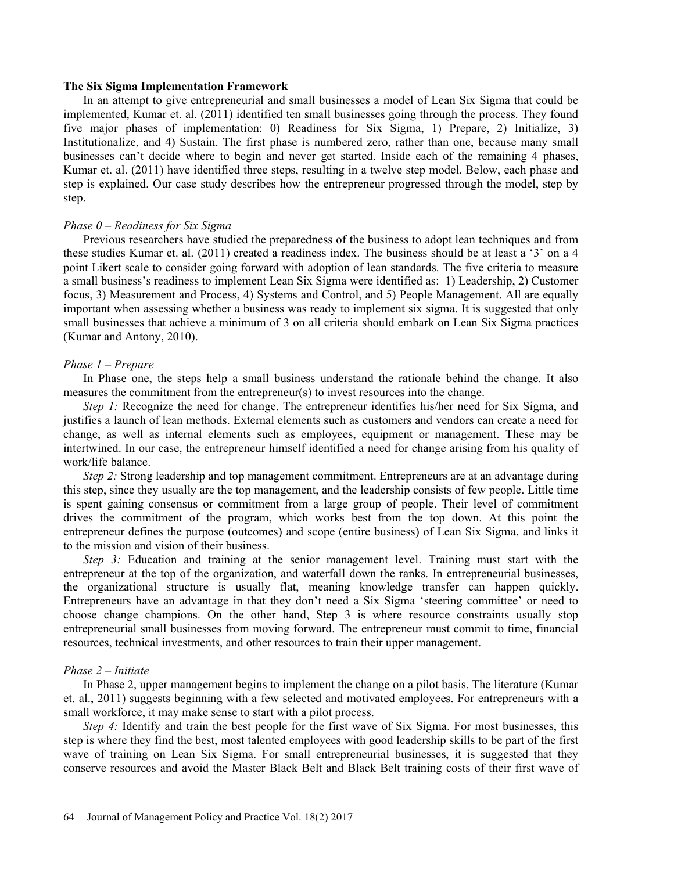#### The Six Sigma Implementation Framework

In an attempt to give entrepreneurial and small businesses a model of Lean Six Sigma that could be implemented, Kumar et. al. (2011) identified ten small businesses going through the process. They found five major phases of implementation: 0) Readiness for Six Sigma, 1) Prepare, 2) Initialize, 3) Institutionalize, and 4) Sustain. The first phase is numbered zero, rather than one, because many small businesses can't decide where to begin and never get started. Inside each of the remaining 4 phases, Kumar et. al. (2011) have identified three steps, resulting in a twelve step model. Below, each phase and step is explained. Our case study describes how the entrepreneur progressed through the model, step by step.

#### Phase  $0$  – Readiness for Six Sigma

Previous researchers have studied the preparedness of the business to adopt lean techniques and from these studies Kumar et. al.  $(2011)$  created a readiness index. The business should be at least a '3' on a 4 point Likert scale to consider going forward with adoption of lean standards. The five criteria to measure a small businesss readiness to implement Lean Six Sigma were identified as: 1) Leadership, 2) Customer focus, 3) Measurement and Process, 4) Systems and Control, and 5) People Management. All are equally important when assessing whether a business was ready to implement six sigma. It is suggested that only small businesses that achieve a minimum of 3 on all criteria should embark on Lean Six Sigma practices (Kumar and Antony, 2010).

#### Phase  $1$  – Prepare

In Phase one, the steps help a small business understand the rationale behind the change. It also measures the commitment from the entrepreneur(s) to invest resources into the change.

Step 1: Recognize the need for change. The entrepreneur identifies his/her need for Six Sigma, and justifies a launch of lean methods. External elements such as customers and vendors can create a need for change, as well as internal elements such as employees, equipment or management. These may be intertwined. In our case, the entrepreneur himself identified a need for change arising from his quality of work/life balance.

Step 2: Strong leadership and top management commitment. Entrepreneurs are at an advantage during this step, since they usually are the top management, and the leadership consists of few people. Little time is spent gaining consensus or commitment from a large group of people. Their level of commitment drives the commitment of the program, which works best from the top down. At this point the entrepreneur defines the purpose (outcomes) and scope (entire business) of Lean Six Sigma, and links it to the mission and vision of their business.

Step 3: Education and training at the senior management level. Training must start with the entrepreneur at the top of the organization, and waterfall down the ranks. In entrepreneurial businesses, the organizational structure is usually flat, meaning knowledge transfer can happen quickly. Entrepreneurs have an advantage in that they don't need a Six Sigma 'steering committee' or need to choose change champions. On the other hand, Step 3 is where resource constraints usually stop entrepreneurial small businesses from moving forward. The entrepreneur must commit to time, financial resources, technical investments, and other resources to train their upper management.

#### Phase  $2$  – Initiate

In Phase 2, upper management begins to implement the change on a pilot basis. The literature (Kumar et. al., 2011) suggests beginning with a few selected and motivated employees. For entrepreneurs with a small workforce, it may make sense to start with a pilot process.

Step 4: Identify and train the best people for the first wave of Six Sigma. For most businesses, this step is where they find the best, most talented employees with good leadership skills to be part of the first wave of training on Lean Six Sigma. For small entrepreneurial businesses, it is suggested that they conserve resources and avoid the Master Black Belt and Black Belt training costs of their first wave of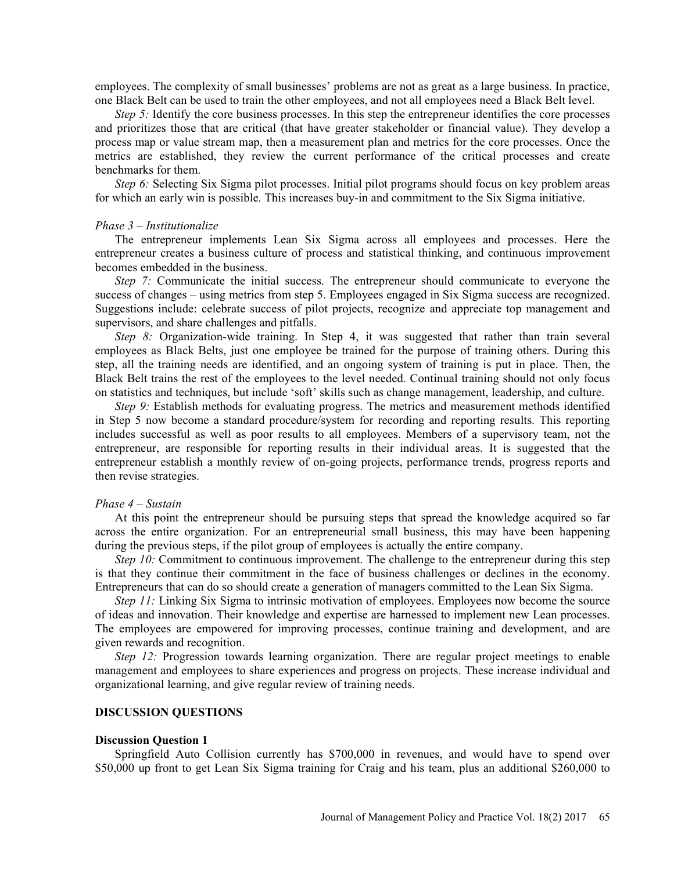employees. The complexity of small businesses' problems are not as great as a large business. In practice, one Black Belt can be used to train the other employees, and not all employees need a Black Belt level.

Step 5: Identify the core business processes. In this step the entrepreneur identifies the core processes and prioritizes those that are critical (that have greater stakeholder or financial value). They develop a process map or value stream map, then a measurement plan and metrics for the core processes. Once the metrics are established, they review the current performance of the critical processes and create benchmarks for them.

Step 6: Selecting Six Sigma pilot processes. Initial pilot programs should focus on key problem areas for which an early win is possible. This increases buy-in and commitment to the Six Sigma initiative.

#### Phase  $3$  – Institutionalize

The entrepreneur implements Lean Six Sigma across all employees and processes. Here the entrepreneur creates a business culture of process and statistical thinking, and continuous improvement becomes embedded in the business.

Step 7: Communicate the initial success. The entrepreneur should communicate to everyone the success of changes – using metrics from step 5. Employees engaged in Six Sigma success are recognized. Suggestions include: celebrate success of pilot projects, recognize and appreciate top management and supervisors, and share challenges and pitfalls.

Step 8: Organization-wide training. In Step 4, it was suggested that rather than train several employees as Black Belts, just one employee be trained for the purpose of training others. During this step, all the training needs are identified, and an ongoing system of training is put in place. Then, the Black Belt trains the rest of the employees to the level needed. Continual training should not only focus on statistics and techniques, but include 'soft' skills such as change management, leadership, and culture.

Step 9: Establish methods for evaluating progress. The metrics and measurement methods identified in Step 5 now become a standard procedure/system for recording and reporting results. This reporting includes successful as well as poor results to all employees. Members of a supervisory team, not the entrepreneur, are responsible for reporting results in their individual areas. It is suggested that the entrepreneur establish a monthly review of on-going projects, performance trends, progress reports and then revise strategies.

#### Phase  $4 -$ Sustain

At this point the entrepreneur should be pursuing steps that spread the knowledge acquired so far across the entire organization. For an entrepreneurial small business, this may have been happening during the previous steps, if the pilot group of employees is actually the entire company.

Step 10: Commitment to continuous improvement. The challenge to the entrepreneur during this step is that they continue their commitment in the face of business challenges or declines in the economy. Entrepreneurs that can do so should create a generation of managers committed to the Lean Six Sigma.

Step 11: Linking Six Sigma to intrinsic motivation of employees. Employees now become the source of ideas and innovation. Their knowledge and expertise are harnessed to implement new Lean processes. The employees are empowered for improving processes, continue training and development, and are given rewards and recognition.

Step 12: Progression towards learning organization. There are regular project meetings to enable management and employees to share experiences and progress on projects. These increase individual and organizational learning, and give regular review of training needs.

## DISCUSSION QUESTIONS

#### Discussion Question 1

Springfield Auto Collision currently has \$700,000 in revenues, and would have to spend over \$50,000 up front to get Lean Six Sigma training for Craig and his team, plus an additional \$260,000 to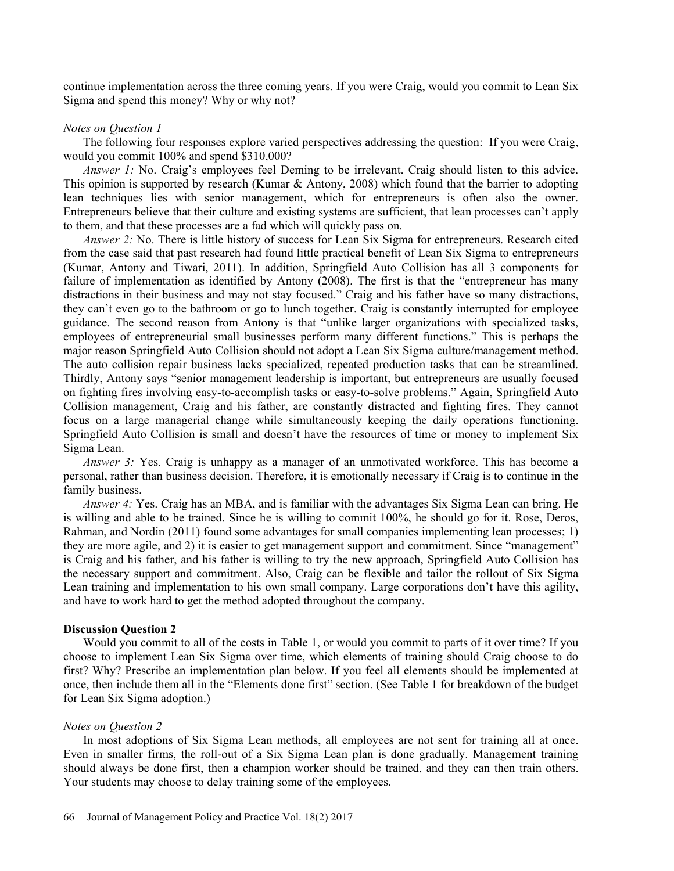continue implementation across the three coming years. If you were Craig, would you commit to Lean Six Sigma and spend this money? Why or why not?

## Notes on Question 1

The following four responses explore varied perspectives addressing the question: If you were Craig, would you commit 100% and spend \$310,000?

Answer 1: No. Craig's employees feel Deming to be irrelevant. Craig should listen to this advice. This opinion is supported by research (Kumar & Antony, 2008) which found that the barrier to adopting lean techniques lies with senior management, which for entrepreneurs is often also the owner. Entrepreneurs believe that their culture and existing systems are sufficient, that lean processes can't apply to them, and that these processes are a fad which will quickly pass on.

Answer 2: No. There is little history of success for Lean Six Sigma for entrepreneurs. Research cited from the case said that past research had found little practical benefit of Lean Six Sigma to entrepreneurs (Kumar, Antony and Tiwari, 2011). In addition, Springfield Auto Collision has all 3 components for failure of implementation as identified by Antony (2008). The first is that the "entrepreneur has many distractions in their business and may not stay focused." Craig and his father have so many distractions, they can't even go to the bathroom or go to lunch together. Craig is constantly interrupted for employee guidance. The second reason from Antony is that "unlike larger organizations with specialized tasks, employees of entrepreneurial small businesses perform many different functions." This is perhaps the major reason Springfield Auto Collision should not adopt a Lean Six Sigma culture/management method. The auto collision repair business lacks specialized, repeated production tasks that can be streamlined. Thirdly, Antony says "senior management leadership is important, but entrepreneurs are usually focused on fighting fires involving easy-to-accomplish tasks or easy-to-solve problems." Again, Springfield Auto Collision management, Craig and his father, are constantly distracted and fighting fires. They cannot focus on a large managerial change while simultaneously keeping the daily operations functioning. Springfield Auto Collision is small and doesn't have the resources of time or money to implement Six Sigma Lean.

Answer 3: Yes. Craig is unhappy as a manager of an unmotivated workforce. This has become a personal, rather than business decision. Therefore, it is emotionally necessary if Craig is to continue in the family business.

Answer 4: Yes. Craig has an MBA, and is familiar with the advantages Six Sigma Lean can bring. He is willing and able to be trained. Since he is willing to commit 100%, he should go for it. Rose, Deros, Rahman, and Nordin (2011) found some advantages for small companies implementing lean processes; 1) they are more agile, and 2) it is easier to get management support and commitment. Since "management" is Craig and his father, and his father is willing to try the new approach, Springfield Auto Collision has the necessary support and commitment. Also, Craig can be flexible and tailor the rollout of Six Sigma Lean training and implementation to his own small company. Large corporations don't have this agility, and have to work hard to get the method adopted throughout the company.

## Discussion Question 2

Would you commit to all of the costs in Table 1, or would you commit to parts of it over time? If you choose to implement Lean Six Sigma over time, which elements of training should Craig choose to do first? Why? Prescribe an implementation plan below. If you feel all elements should be implemented at once, then include them all in the "Elements done first" section. (See Table 1 for breakdown of the budget for Lean Six Sigma adoption.)

## Notes on Question 2

In most adoptions of Six Sigma Lean methods, all employees are not sent for training all at once. Even in smaller firms, the roll-out of a Six Sigma Lean plan is done gradually. Management training should always be done first, then a champion worker should be trained, and they can then train others. Your students may choose to delay training some of the employees.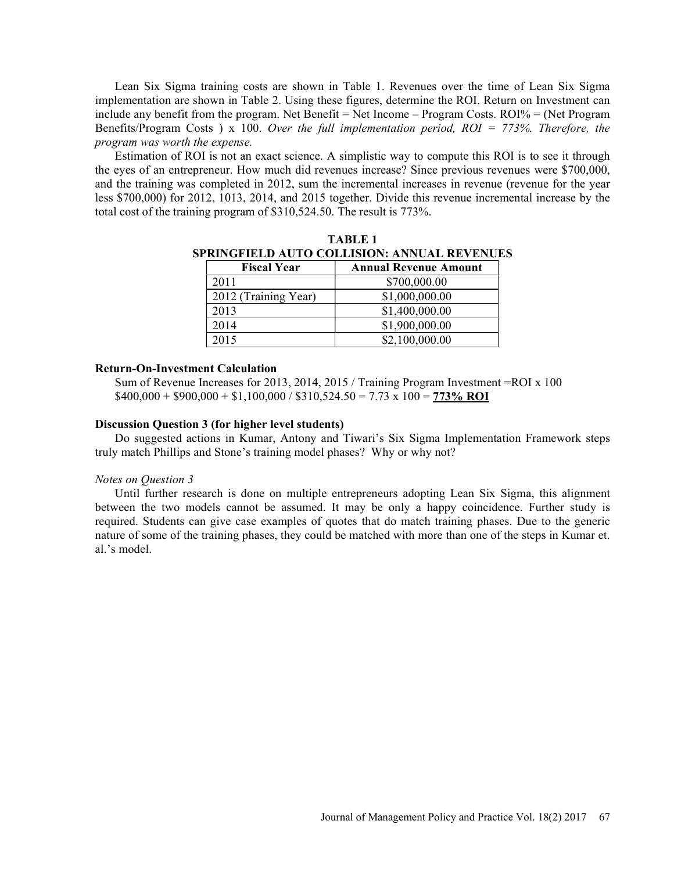Lean Six Sigma training costs are shown in Table 1. Revenues over the time of Lean Six Sigma implementation are shown in Table 2. Using these figures, determine the ROI. Return on Investment can include any benefit from the program. Net Benefit  $=$  Net Income  $-$  Program Costs. ROI%  $=$  (Net Program Benefits/Program Costs ) x 100. Over the full implementation period,  $ROI = 773%$ . Therefore, the program was worth the expense.

Estimation of ROI is not an exact science. A simplistic way to compute this ROI is to see it through the eyes of an entrepreneur. How much did revenues increase? Since previous revenues were \$700,000, and the training was completed in 2012, sum the incremental increases in revenue (revenue for the year less \$700,000) for 2012, 1013, 2014, and 2015 together. Divide this revenue incremental increase by the total cost of the training program of \$310,524.50. The result is 773%.

| <b>Fiscal Year</b>   | <b>Annual Revenue Amount</b> |
|----------------------|------------------------------|
| 2011                 | \$700,000.00                 |
| 2012 (Training Year) | \$1,000,000.00               |
| 2013                 | \$1,400,000.00               |
| 2014                 | \$1,900,000.00               |
| 2015                 | \$2,100,000.00               |

TABLE 1 SPRINGFIELD AUTO COLLISION: ANNUAL REVENUES

#### Return-On-Investment Calculation

Sum of Revenue Increases for 2013, 2014, 2015 / Training Program Investment =ROI x 100  $$400,000 + $900,000 + $1,100,000 / $310,524.50 = 7.73 \times 100 = 773\% \text{ ROI}$ 

#### Discussion Question 3 (for higher level students)

Do suggested actions in Kumar, Antony and Tiwari's Six Sigma Implementation Framework steps truly match Phillips and Stone's training model phases? Why or why not?

#### Notes on Question 3

Until further research is done on multiple entrepreneurs adopting Lean Six Sigma, this alignment between the two models cannot be assumed. It may be only a happy coincidence. Further study is required. Students can give case examples of quotes that do match training phases. Due to the generic nature of some of the training phases, they could be matched with more than one of the steps in Kumar et. al.'s model.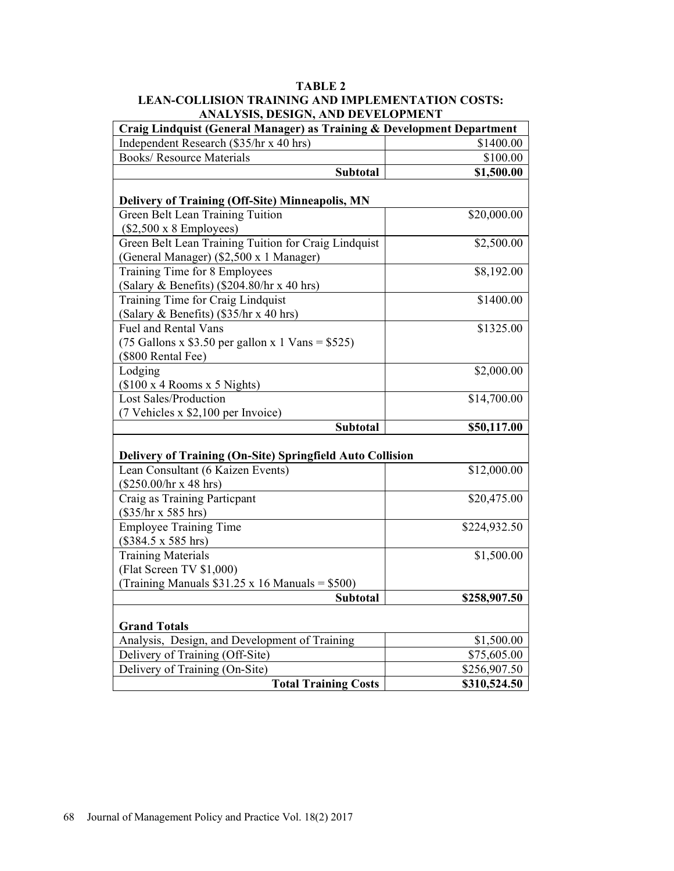## TABLE 2 LEAN-COLLISION TRAINING AND IMPLEMENTATION COSTS: ANALYSIS, DESIGN, AND DEVELOPMENT

| Craig Lindquist (General Manager) as Training & Development Department                                         |              |  |
|----------------------------------------------------------------------------------------------------------------|--------------|--|
| Independent Research (\$35/hr x 40 hrs)                                                                        | \$1400.00    |  |
| <b>Books/ Resource Materials</b>                                                                               | \$100.00     |  |
| <b>Subtotal</b>                                                                                                | \$1,500.00   |  |
| <b>Delivery of Training (Off-Site) Minneapolis, MN</b>                                                         |              |  |
| Green Belt Lean Training Tuition<br>$(\$2,500 \times 8$ Employees)                                             | \$20,000.00  |  |
| Green Belt Lean Training Tuition for Craig Lindquist<br>(General Manager) (\$2,500 x 1 Manager)                | \$2,500.00   |  |
| Training Time for 8 Employees<br>(Salary & Benefits) (\$204.80/hr x 40 hrs)                                    | \$8,192.00   |  |
| Training Time for Craig Lindquist<br>(Salary & Benefits) (\$35/hr x 40 hrs)                                    | \$1400.00    |  |
| <b>Fuel and Rental Vans</b><br>$(75$ Gallons x \$3.50 per gallon x 1 Vans = \$525)<br>(\$800 Rental Fee)       | \$1325.00    |  |
| Lodging<br>(\$100 x 4 Rooms x 5 Nights)                                                                        | \$2,000.00   |  |
| Lost Sales/Production<br>(7 Vehicles x \$2,100 per Invoice)                                                    | \$14,700.00  |  |
| <b>Subtotal</b>                                                                                                | \$50,117.00  |  |
| Delivery of Training (On-Site) Springfield Auto Collision                                                      |              |  |
| Lean Consultant (6 Kaizen Events)<br>$(\$250.00/hr \times 48 hrs)$                                             | \$12,000.00  |  |
| Craig as Training Particpant<br>$(\$35/hr x 585 hrs)$                                                          | \$20,475.00  |  |
| <b>Employee Training Time</b><br>$($384.5 \times 585 \text{ hrs})$                                             | \$224,932.50 |  |
| <b>Training Materials</b><br>(Flat Screen TV \$1,000)<br>(Training Manuals $$31.25 \times 16$ Manuals = \$500) | \$1,500.00   |  |
| <b>Subtotal</b>                                                                                                | \$258,907.50 |  |
| <b>Grand Totals</b>                                                                                            |              |  |
| Analysis, Design, and Development of Training                                                                  | \$1,500.00   |  |
| Delivery of Training (Off-Site)                                                                                | \$75,605.00  |  |
| Delivery of Training (On-Site)                                                                                 | \$256,907.50 |  |
| <b>Total Training Costs</b>                                                                                    | \$310,524.50 |  |